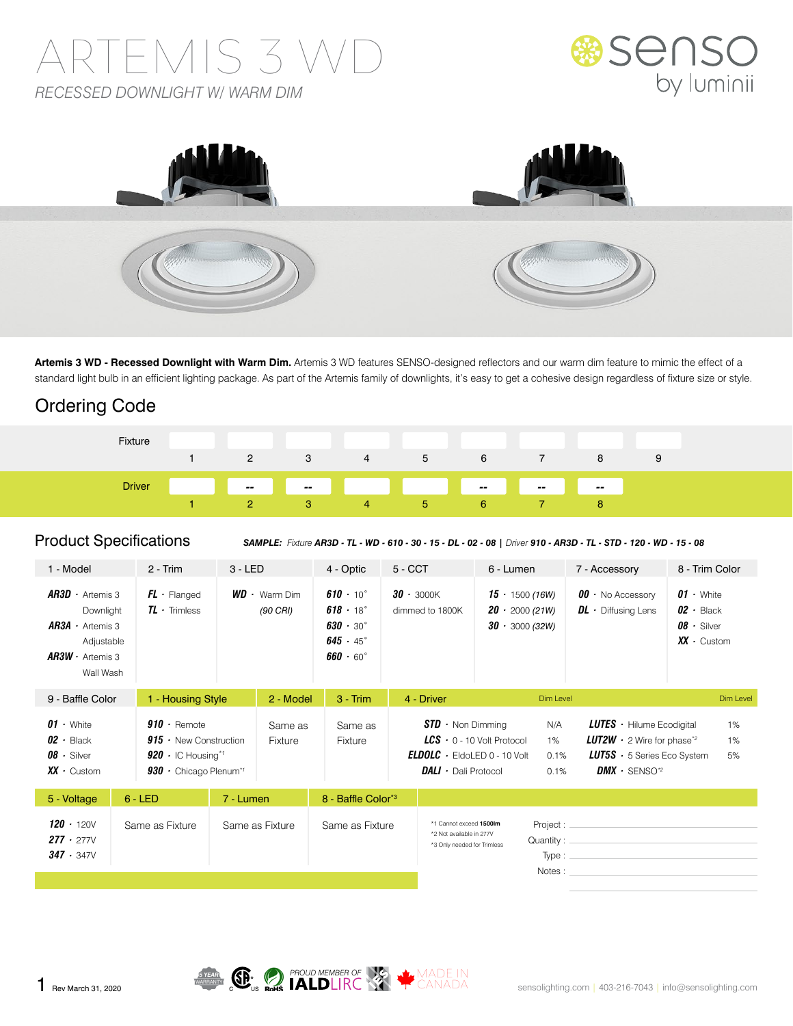# ARTEMIS 3 WD *RECESSED DOWNLIGHT W/ WARM DIM*





**Artemis 3 WD - Recessed Downlight with Warm Dim.** Artemis 3 WD features SENSO-designed reflectors and our warm dim feature to mimic the effect of a standard light bulb in an efficient lighting package. As part of the Artemis family of downlights, it's easy to get a cohesive design regardless of fixture size or style.

## Ordering Code

| Fixture       |                               |    |                                                    |    |                      |            |        |  |  |
|---------------|-------------------------------|----|----------------------------------------------------|----|----------------------|------------|--------|--|--|
|               | $\mathcal{D}$                 | 3  | $\overline{4}$                                     | 5  | 6                    |            | 8      |  |  |
| <b>Driver</b> | <b><i><u>Property</u></i></b> | m. | <u>in the second contract of the second second</u> |    | <b>Service State</b> | $\sim 100$ | $\sim$ |  |  |
|               |                               | 3  | 4                                                  | 5. | 6.                   |            |        |  |  |

#### Product Specifications

*SAMPLE: Fixture AR3D - TL - WD - 610 - 30 - 15 - DL - 02 - 08 | Driver 910 - AR3D - TL - STD - 120 - WD - 15 - 08*

| 1 - Model                                                                                                          | $2 - Trim$                                                                                                                            | $3 - LED$                      |                                                                                                                    | $5 - CCT$                                                                                                 | 6 - Lumen                                                            | 7 - Accessory                                                                                                                                                                | 8 - Trim Color                                                                 |  |
|--------------------------------------------------------------------------------------------------------------------|---------------------------------------------------------------------------------------------------------------------------------------|--------------------------------|--------------------------------------------------------------------------------------------------------------------|-----------------------------------------------------------------------------------------------------------|----------------------------------------------------------------------|------------------------------------------------------------------------------------------------------------------------------------------------------------------------------|--------------------------------------------------------------------------------|--|
| $AB3D \cdot$ Artemis 3<br>Downlight<br>$AR3A \cdot$ Artemis 3<br>Adjustable<br>$AR3W \cdot$ Artemis 3<br>Wall Wash | $FL \cdot$ Flanged<br>$TL \cdot$ Trimless                                                                                             | WD ·<br>Warm Dim<br>(90 CRI)   | $610 \cdot 10^{\circ}$<br>$618 \cdot 18$ °<br>$630 \cdot 30^{\circ}$<br>$645 \cdot 45$ °<br>$660 \cdot 60^{\circ}$ | $30 \cdot 3000K$<br>dimmed to 1800K                                                                       | $15 \cdot 1500(16W)$<br>$20 \cdot 2000(21W)$<br>$30 \cdot 3000(32W)$ | $00 \cdot$ No Accessory<br>$DL \cdot$ Diffusing Lens                                                                                                                         | $01 \cdot$ White<br>$02 \cdot$ Black<br>$08 \cdot$ Silver<br>$XX \cdot$ Custom |  |
| 9 - Baffle Color                                                                                                   |                                                                                                                                       | 1 - Housing Style<br>2 - Model |                                                                                                                    | 4 - Driver                                                                                                | Dim Level                                                            |                                                                                                                                                                              | Dim Level                                                                      |  |
| $01 \cdot$ White<br>$02 \cdot$ Black<br>$08 \cdot$ Silver<br>$XX \cdot$ Custom                                     | $910 \cdot$ Remote<br>$915 \cdot$ New Construction<br>$920 \cdot$ IC Housing <sup>*1</sup><br>$930 \cdot$ Chicago Plenum <sup>*</sup> | Same as<br>Fixture             | Same as<br>Fixture                                                                                                 | $STD \cdot$ Non Dimming<br><b>ELDOLC</b> $\cdot$ EldoLED 0 - 10 Volt<br><b>DALI</b> $\cdot$ Dali Protocol | N/A<br>$LCS$ $\cdot$ 0 - 10 Volt Protocol<br>1%<br>0.1%<br>0.1%      | <b>LUTES</b> $\cdot$ Hilume Ecodigital<br><b>LUT2W</b> $\cdot$ 2 Wire for phase <sup>*2</sup><br><b>LUT5S</b> $\cdot$ 5 Series Eco System<br>$DMX \cdot$ SENSO <sup>*2</sup> | 1%<br>1%<br>5%                                                                 |  |
| 5 - Voltage                                                                                                        | $6 - LED$                                                                                                                             | 7 - Lumen                      | 8 - Baffle Color* <sup>3</sup>                                                                                     |                                                                                                           |                                                                      |                                                                                                                                                                              |                                                                                |  |
| $120 \cdot 120V$<br>$277 \cdot 277V$<br>$347 \cdot 347V$                                                           | Same as Fixture                                                                                                                       | Same as Fixture                | Same as Fixture                                                                                                    | *1 Cannot exceed 1500lm<br>*2 Not available in 277V<br>*3 Only needed for Trimless                        | Project: _<br>$Type:$ $\_\$<br>Notes:                                | <u> 1989 - Johann Barn, mars ann an t-Amhain an t-A</u><br>Quantity: <u>_______________________</u>                                                                          |                                                                                |  |

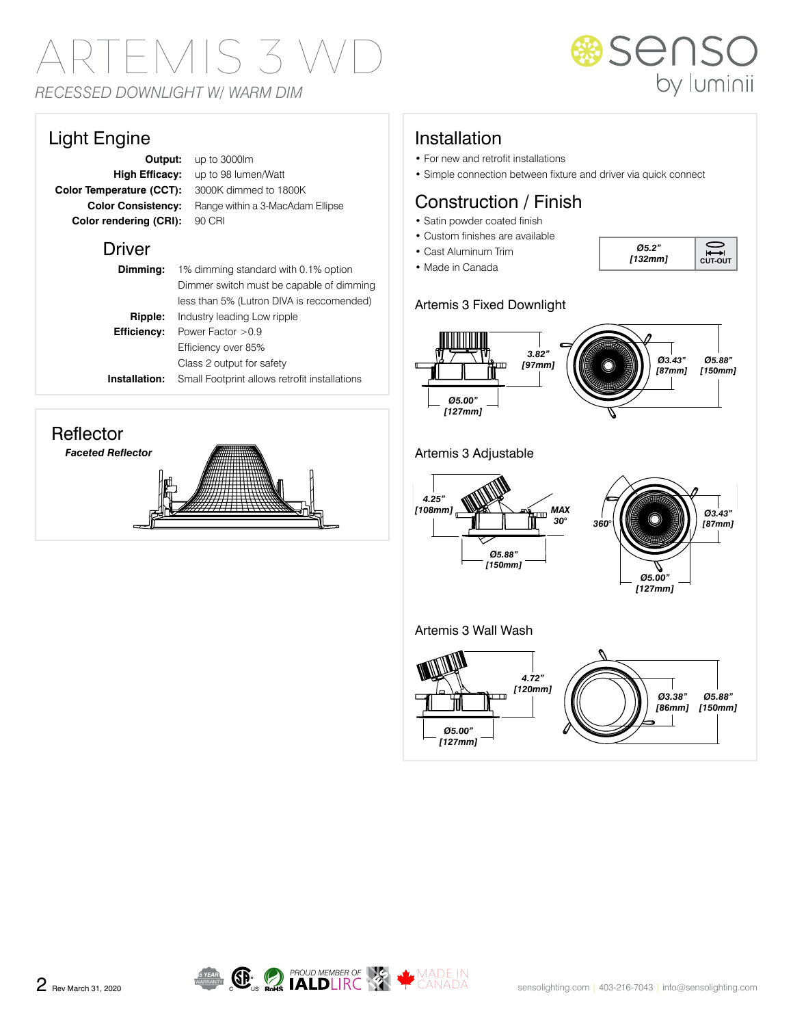# ARTEMIS 3 WD *RECESSED DOWNLIGHT W/ WARM DIM*



## Light Engine

**Reflector** 

*Faceted Reflector*

**Output:** up to 3000lm **High Efficacy:** up to 98 lumen/Watt **Color rendering (CRI):** 90 CRI

#### Driver

**Color Temperature (CCT):** 3000K dimmed to 1800K **Color Consistency:** Range within a 3-MacAdam Ellipse **Dimming:** 1% dimming standard with 0.1% option

| <b>DIMINIQ:</b>    | T% Giffifiling standard with 0.1% option      |  |  |  |  |
|--------------------|-----------------------------------------------|--|--|--|--|
|                    | Dimmer switch must be capable of dimming      |  |  |  |  |
|                    | less than 5% (Lutron DIVA is reccomended)     |  |  |  |  |
| Ripple:            | Industry leading Low ripple                   |  |  |  |  |
| <b>Efficiency:</b> | Power Factor $>0.9$                           |  |  |  |  |
|                    | Efficiency over 85%                           |  |  |  |  |
|                    | Class 2 output for safety                     |  |  |  |  |
| Installation:      | Small Footprint allows retrofit installations |  |  |  |  |
|                    |                                               |  |  |  |  |

## Installation

- For new and retrofit installations
- Simple connection between fixture and driver via quick connect

# Construction / Finish

- Satin powder coated finish
- Custom finishes are available
- Cast Aluminum Trim • Made in Canada

*Ø5.00" [127mm]*



#### Artemis 3 Fixed Downlight



*5 YEAR* WARRANTY